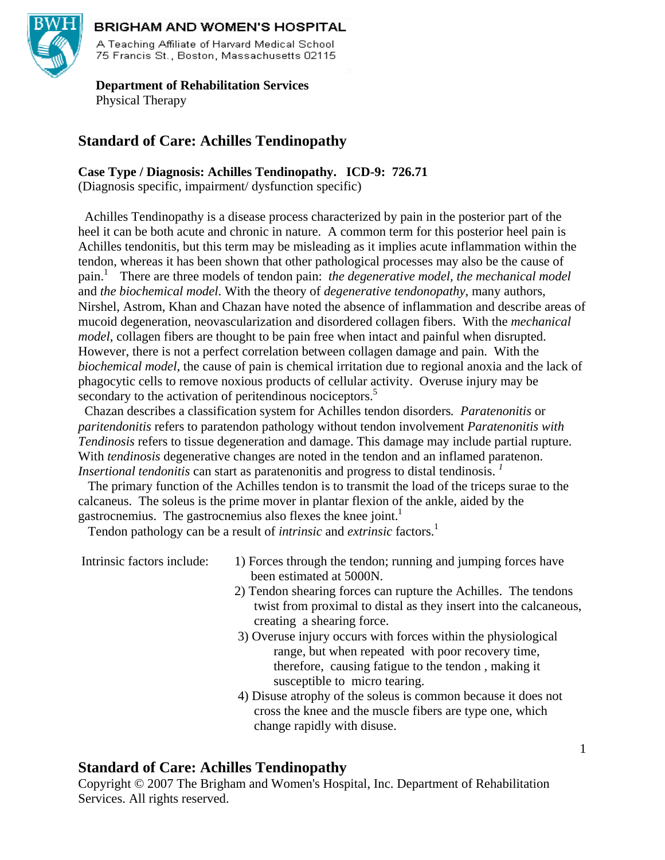

### **BRIGHAM AND WOMEN'S HOSPITAL**

A Teaching Affiliate of Harvard Medical School 75 Francis St., Boston, Massachusetts 02115

## **Department of Rehabilitation Services**  Physical Therapy

## **Standard of Care: Achilles Tendinopathy**

**Case Type / Diagnosis: Achilles Tendinopathy. ICD-9: 726.71** 

(Diagnosis specific, impairment/ dysfunction specific)

 Achilles Tendinopathy is a disease process characterized by pain in the posterior part of the heel it can be both acute and chronic in nature. A common term for this posterior heel pain is Achilles tendonitis, but this term may be misleading as it implies acute inflammation within the tendon, whereas it has been shown that other pathological processes may also be the cause of pain.1 There are three models of tendon pain: *the degenerative model, the mechanical model* and *the biochemical model*. With the theory of *degenerative tendonopathy*, many authors, Nirshel, Astrom, Khan and Chazan have noted the absence of inflammation and describe areas of mucoid degeneration, neovascularization and disordered collagen fibers. With the *mechanical model*, collagen fibers are thought to be pain free when intact and painful when disrupted. However, there is not a perfect correlation between collagen damage and pain. With the *biochemical model*, the cause of pain is chemical irritation due to regional anoxia and the lack of phagocytic cells to remove noxious products of cellular activity. Overuse injury may be secondary to the activation of peritendinous nociceptors.<sup>5</sup>

 Chazan describes a classification system for Achilles tendon disorders*. Paratenonitis* or *paritendonitis* refers to paratendon pathology without tendon involvement *Paratenonitis with Tendinosis* refers to tissue degeneration and damage. This damage may include partial rupture. With *tendinosis* degenerative changes are noted in the tendon and an inflamed paratenon. *Insertional tendonitis* can start as paratenonitis and progress to distal tendinosis.<sup>1</sup>

 The primary function of the Achilles tendon is to transmit the load of the triceps surae to the calcaneus. The soleus is the prime mover in plantar flexion of the ankle, aided by the gastrocnemius. The gastrocnemius also flexes the knee joint.<sup>1</sup>

Tendon pathology can be a result of *intrinsic* and *extrinsic* factors.1

- Intrinsic factors include: 1) Forces through the tendon; running and jumping forces have been estimated at 5000N.
	- 2) Tendon shearing forces can rupture the Achilles. The tendons twist from proximal to distal as they insert into the calcaneous, creating a shearing force.
	- 3) Overuse injury occurs with forces within the physiological range, but when repeated with poor recovery time, therefore, causing fatigue to the tendon , making it susceptible to micro tearing.
	- 4) Disuse atrophy of the soleus is common because it does not cross the knee and the muscle fibers are type one, which change rapidly with disuse.

## **Standard of Care: Achilles Tendinopathy**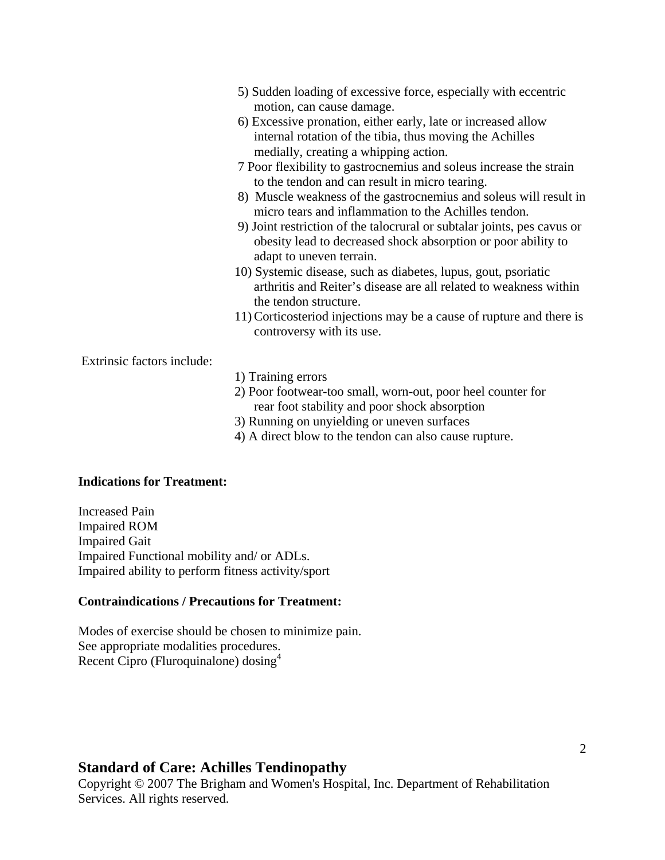- 5) Sudden loading of excessive force, especially with eccentric motion, can cause damage.
- 6) Excessive pronation, either early, late or increased allow internal rotation of the tibia, thus moving the Achilles medially, creating a whipping action.
- 7 Poor flexibility to gastrocnemius and soleus increase the strain to the tendon and can result in micro tearing.
- 8) Muscle weakness of the gastrocnemius and soleus will result in micro tears and inflammation to the Achilles tendon.
- 9) Joint restriction of the talocrural or subtalar joints, pes cavus or obesity lead to decreased shock absorption or poor ability to adapt to uneven terrain.
- 10) Systemic disease, such as diabetes, lupus, gout, psoriatic arthritis and Reiter's disease are all related to weakness within the tendon structure.
- 11)Corticosteriod injections may be a cause of rupture and there is controversy with its use.

Extrinsic factors include:

- 1) Training errors
- 2) Poor footwear-too small, worn-out, poor heel counter for rear foot stability and poor shock absorption
- 3) Running on unyielding or uneven surfaces
- 4) A direct blow to the tendon can also cause rupture.

### **Indications for Treatment:**

Increased Pain Impaired ROM Impaired Gait Impaired Functional mobility and/ or ADLs. Impaired ability to perform fitness activity/sport

#### **Contraindications / Precautions for Treatment:**

Modes of exercise should be chosen to minimize pain. See appropriate modalities procedures. Recent Cipro (Fluroquinalone) dosing<sup>4</sup>

### **Standard of Care: Achilles Tendinopathy**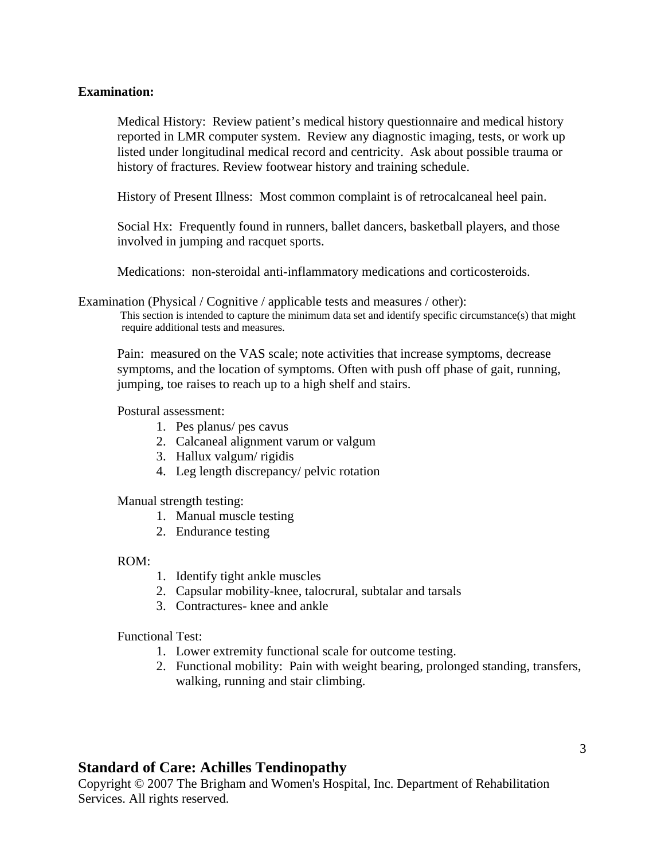### **Examination:**

Medical History: Review patient's medical history questionnaire and medical history reported in LMR computer system. Review any diagnostic imaging, tests, or work up listed under longitudinal medical record and centricity. Ask about possible trauma or history of fractures. Review footwear history and training schedule.

History of Present Illness: Most common complaint is of retrocalcaneal heel pain.

Social Hx: Frequently found in runners, ballet dancers, basketball players, and those involved in jumping and racquet sports.

Medications: non-steroidal anti-inflammatory medications and corticosteroids.

Examination (Physical / Cognitive / applicable tests and measures / other):<br>This section is intended to capture the minimum data set and identify specific circumstance(s) that might require additional tests and measures.

Pain: measured on the VAS scale; note activities that increase symptoms, decrease symptoms, and the location of symptoms. Often with push off phase of gait, running, jumping, toe raises to reach up to a high shelf and stairs.

### Postural assessment:

- 1. Pes planus/ pes cavus
- 2. Calcaneal alignment varum or valgum
- 3. Hallux valgum/ rigidis
- 4. Leg length discrepancy/ pelvic rotation

Manual strength testing:

- 1. Manual muscle testing
- 2. Endurance testing

### ROM:

- 1. Identify tight ankle muscles
- 2. Capsular mobility-knee, talocrural, subtalar and tarsals
- 3. Contractures- knee and ankle

Functional Test:

- 1. Lower extremity functional scale for outcome testing.
- 2. Functional mobility: Pain with weight bearing, prolonged standing, transfers, walking, running and stair climbing.

## **Standard of Care: Achilles Tendinopathy**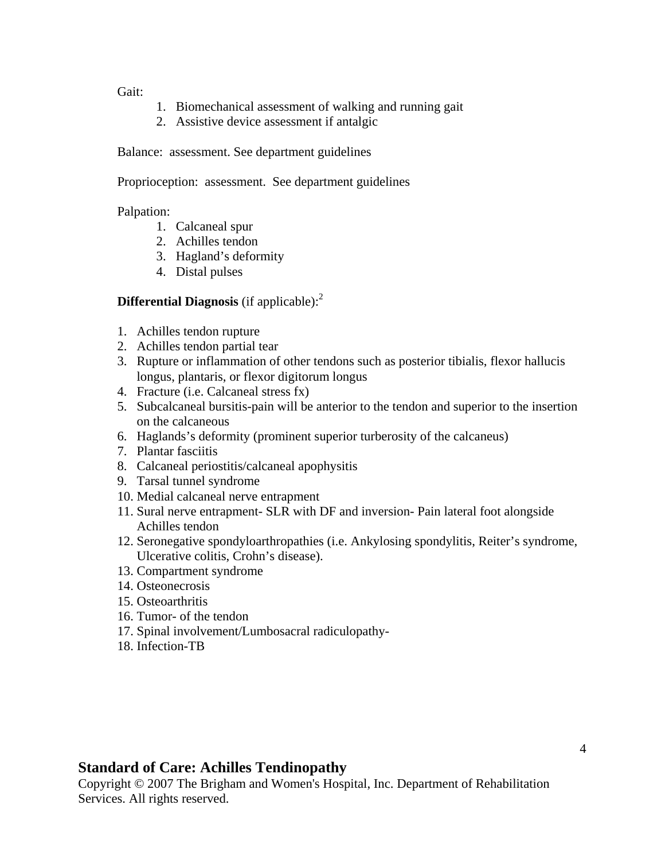Gait:

- 1. Biomechanical assessment of walking and running gait
- 2. Assistive device assessment if antalgic

Balance: assessment. See department guidelines

Proprioception: assessment. See department guidelines

Palpation:

- 1. Calcaneal spur
- 2. Achilles tendon
- 3. Hagland's deformity
- 4. Distal pulses

## **Differential Diagnosis** (if applicable):<sup>2</sup>

- 1. Achilles tendon rupture
- 2. Achilles tendon partial tear
- 3. Rupture or inflammation of other tendons such as posterior tibialis, flexor hallucis longus, plantaris, or flexor digitorum longus
- 4. Fracture (i.e. Calcaneal stress fx)
- 5. Subcalcaneal bursitis-pain will be anterior to the tendon and superior to the insertion on the calcaneous
- 6. Haglands's deformity (prominent superior turberosity of the calcaneus)
- 7. Plantar fasciitis
- 8. Calcaneal periostitis/calcaneal apophysitis
- 9. Tarsal tunnel syndrome
- 10. Medial calcaneal nerve entrapment
- 11. Sural nerve entrapment- SLR with DF and inversion- Pain lateral foot alongside Achilles tendon
- 12. Seronegative spondyloarthropathies (i.e. Ankylosing spondylitis, Reiter's syndrome, Ulcerative colitis, Crohn's disease).
- 13. Compartment syndrome
- 14. Osteonecrosis
- 15. Osteoarthritis
- 16. Tumor- of the tendon
- 17. Spinal involvement/Lumbosacral radiculopathy-
- 18. Infection-TB

## **Standard of Care: Achilles Tendinopathy**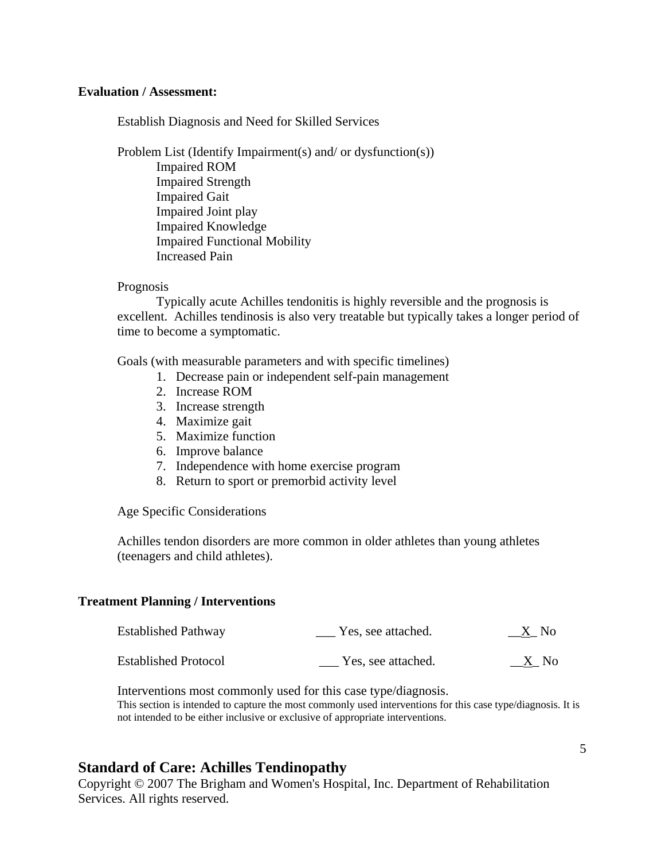### **Evaluation / Assessment:**

Establish Diagnosis and Need for Skilled Services

Problem List (Identify Impairment(s) and/ or dysfunction(s)) Impaired ROM Impaired Strength Impaired Gait Impaired Joint play Impaired Knowledge Impaired Functional Mobility Increased Pain

### Prognosis

Typically acute Achilles tendonitis is highly reversible and the prognosis is excellent. Achilles tendinosis is also very treatable but typically takes a longer period of time to become a symptomatic.

Goals (with measurable parameters and with specific timelines)

- 1. Decrease pain or independent self-pain management
- 2. Increase ROM
- 3. Increase strength
- 4. Maximize gait
- 5. Maximize function
- 6. Improve balance
- 7. Independence with home exercise program
- 8. Return to sport or premorbid activity level

Age Specific Considerations

Achilles tendon disorders are more common in older athletes than young athletes (teenagers and child athletes).

### **Treatment Planning / Interventions**

| <b>Established Pathway</b>  | Yes, see attached. | $\underline{X}$ . No |
|-----------------------------|--------------------|----------------------|
| <b>Established Protocol</b> | Yes, see attached. | X No                 |

 Interventions most commonly used for this case type/diagnosis. This section is intended to capture the most commonly used interventions for this case type/diagnosis. It is not intended to be either inclusive or exclusive of appropriate interventions.

## **Standard of Care: Achilles Tendinopathy**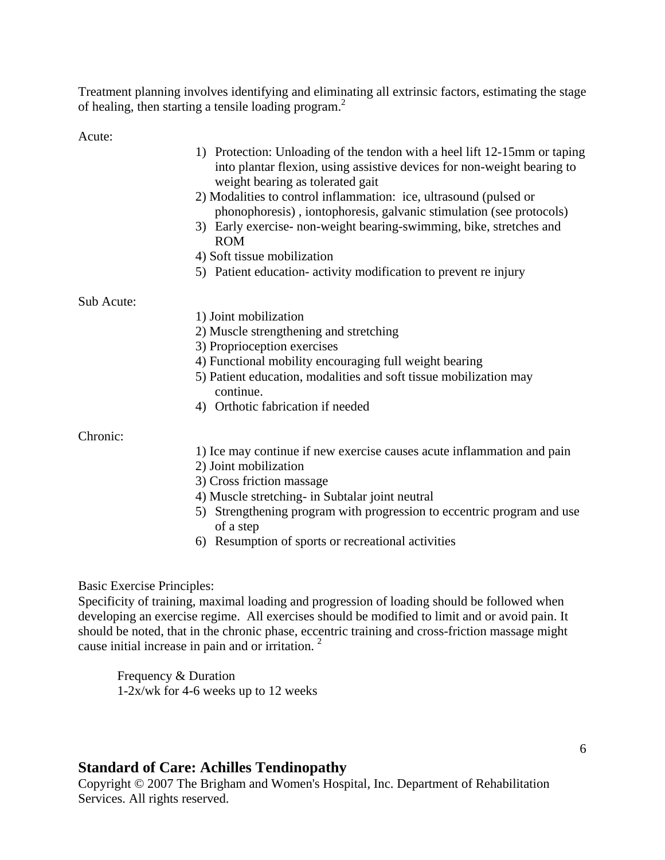Treatment planning involves identifying and eliminating all extrinsic factors, estimating the stage of healing, then starting a tensile loading program.<sup>2</sup>

Acute:

|            | 1) Protection: Unloading of the tendon with a heel lift 12-15mm or taping<br>into plantar flexion, using assistive devices for non-weight bearing to<br>weight bearing as tolerated gait |
|------------|------------------------------------------------------------------------------------------------------------------------------------------------------------------------------------------|
|            | 2) Modalities to control inflammation: ice, ultrasound (pulsed or<br>phonophoresis), iontophoresis, galvanic stimulation (see protocols)                                                 |
|            | 3) Early exercise- non-weight bearing-swimming, bike, stretches and<br><b>ROM</b>                                                                                                        |
|            | 4) Soft tissue mobilization                                                                                                                                                              |
|            | 5) Patient education- activity modification to prevent re injury                                                                                                                         |
| Sub Acute: |                                                                                                                                                                                          |
|            | 1) Joint mobilization                                                                                                                                                                    |
|            | 2) Muscle strengthening and stretching                                                                                                                                                   |
|            | 3) Proprioception exercises                                                                                                                                                              |
|            | 4) Functional mobility encouraging full weight bearing                                                                                                                                   |
|            | 5) Patient education, modalities and soft tissue mobilization may<br>continue.                                                                                                           |
|            | 4) Orthotic fabrication if needed                                                                                                                                                        |
| Chronic:   |                                                                                                                                                                                          |
|            | 1) Ice may continue if new exercise causes acute inflammation and pain                                                                                                                   |
|            | 2) Joint mobilization                                                                                                                                                                    |
|            | 3) Cross friction massage                                                                                                                                                                |
|            |                                                                                                                                                                                          |

- 4) Muscle stretching- in Subtalar joint neutral
- 5) Strengthening program with progression to eccentric program and use of a step
- 6) Resumption of sports or recreational activities

Basic Exercise Principles:

Specificity of training, maximal loading and progression of loading should be followed when developing an exercise regime. All exercises should be modified to limit and or avoid pain. It should be noted, that in the chronic phase, eccentric training and cross-friction massage might cause initial increase in pain and or irritation. 2

Frequency & Duration 1-2x/wk for 4-6 weeks up to 12 weeks

## **Standard of Care: Achilles Tendinopathy**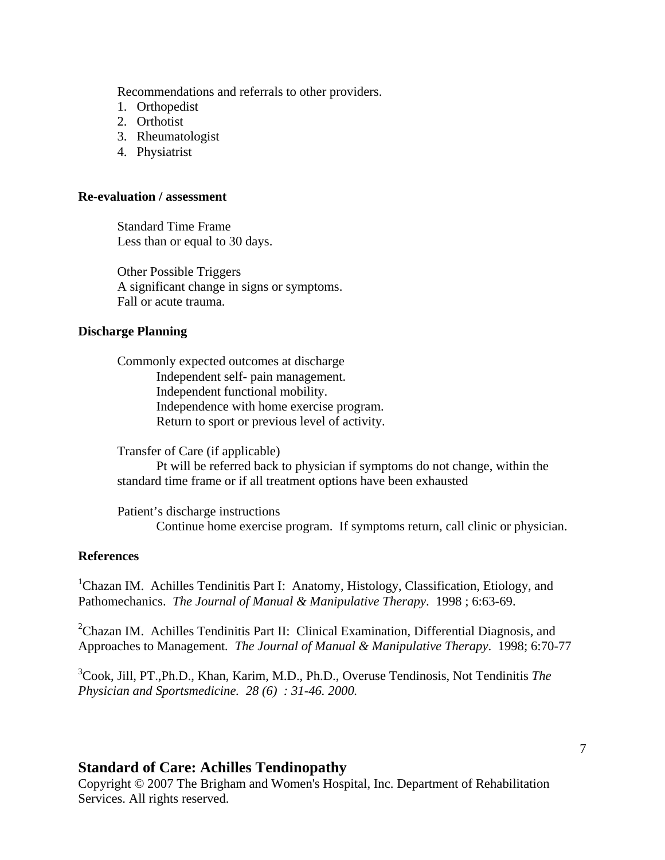Recommendations and referrals to other providers.

- 1. Orthopedist
- 2. Orthotist
- 3. Rheumatologist
- 4. Physiatrist

### **Re-evaluation / assessment**

Standard Time Frame Less than or equal to 30 days.

Other Possible Triggers A significant change in signs or symptoms. Fall or acute trauma.

### **Discharge Planning**

Commonly expected outcomes at discharge Independent self- pain management. Independent functional mobility. Independence with home exercise program. Return to sport or previous level of activity.

Transfer of Care (if applicable)

Pt will be referred back to physician if symptoms do not change, within the standard time frame or if all treatment options have been exhausted

 Patient's discharge instructions Continue home exercise program. If symptoms return, call clinic or physician.

### **References**

<sup>1</sup>Chazan IM. Achilles Tendinitis Part I: Anatomy, Histology, Classification, Etiology, and Pathomechanics. *The Journal of Manual & Manipulative Therapy*. 1998 ; 6:63-69.

<sup>2</sup>Chazan IM. Achilles Tendinitis Part II: Clinical Examination, Differential Diagnosis, and Approaches to Management*. The Journal of Manual & Manipulative Therapy*. 1998; 6:70-77

3 Cook, Jill, PT.,Ph.D., Khan, Karim, M.D., Ph.D., Overuse Tendinosis, Not Tendinitis *The Physician and Sportsmedicine. 28 (6) : 31-46. 2000.* 

### **Standard of Care: Achilles Tendinopathy**